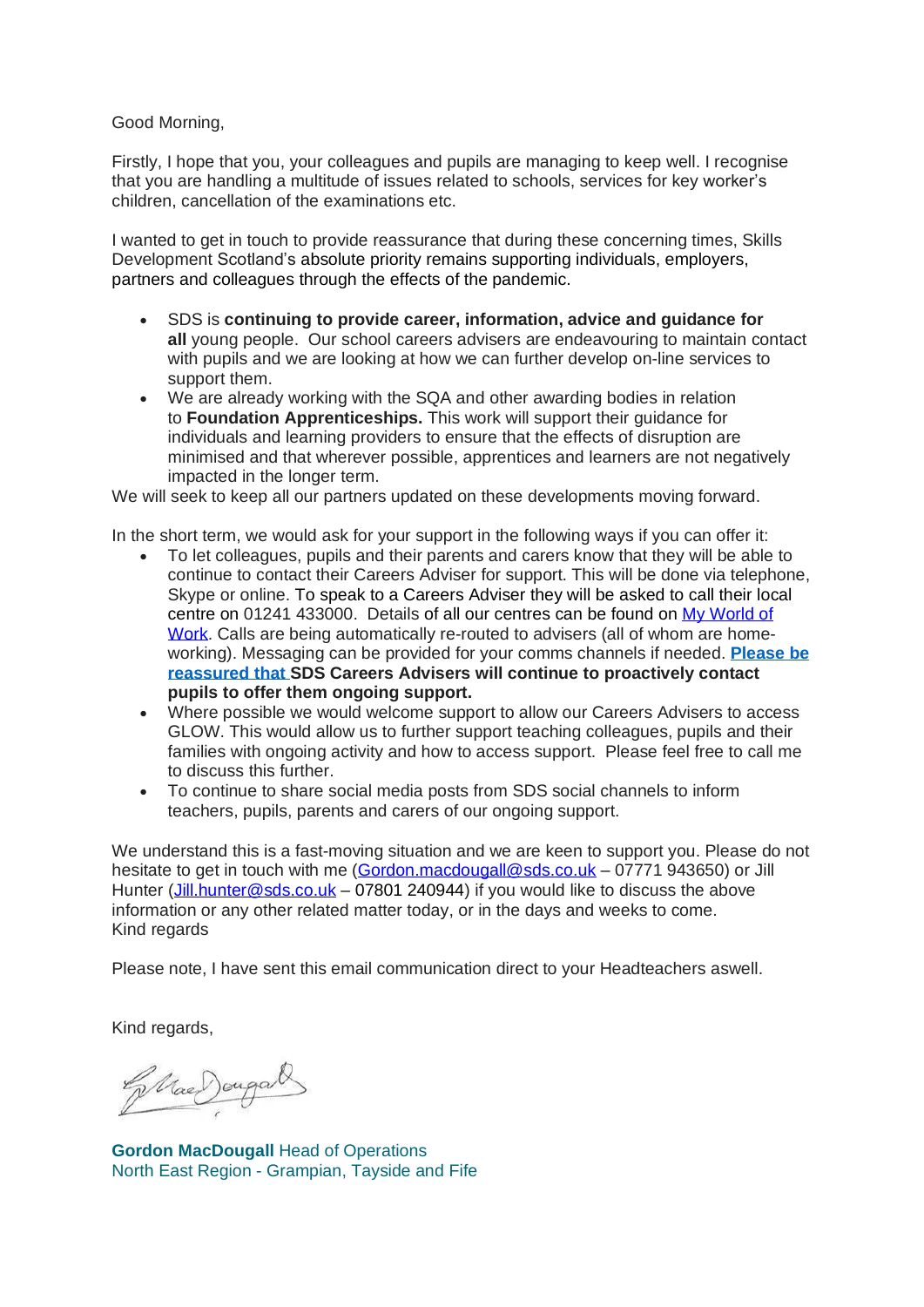Good Morning,

Firstly, I hope that you, your colleagues and pupils are managing to keep well. I recognise that you are handling a multitude of issues related to schools, services for key worker's children, cancellation of the examinations etc.

I wanted to get in touch to provide reassurance that during these concerning times, Skills Development Scotland's absolute priority remains supporting individuals, employers, partners and colleagues through the effects of the pandemic.

- SDS is **continuing to provide career, information, advice and guidance for all** young people. Our school careers advisers are endeavouring to maintain contact with pupils and we are looking at how we can further develop on-line services to support them.
- We are already working with the SQA and other awarding bodies in relation to **Foundation Apprenticeships.** This work will support their guidance for individuals and learning providers to ensure that the effects of disruption are minimised and that wherever possible, apprentices and learners are not negatively impacted in the longer term.

We will seek to keep all our partners updated on these developments moving forward.

In the short term, we would ask for your support in the following ways if you can offer it:

- To let colleagues, pupils and their parents and carers know that they will be able to continue to contact their Careers Adviser for support. This will be done via telephone, Skype or online. To speak to a Careers Adviser they will be asked to call their local centre on 01241 433000. Details of all our centres can be found on My [World](https://www.myworldofwork.co.uk/centres) of [Work.](https://www.myworldofwork.co.uk/centres) Calls are being automatically re-routed to advisers (all of whom are homeworking). Messaging can be provided for your comms channels if needed. **Please be reassured that SDS Careers Advisers will continue to proactively contact pupils to offer them ongoing support.**
- Where possible we would welcome support to allow our Careers Advisers to access GLOW. This would allow us to further support teaching colleagues, pupils and their families with ongoing activity and how to access support. Please feel free to call me to discuss this further.
- To continue to share social media posts from SDS social channels to inform teachers, pupils, parents and carers of our ongoing support.

We understand this is a fast-moving situation and we are keen to support you. Please do not hesitate to get in touch with me [\(Gordon.macdougall@sds.co.uk](mailto:Gordon.macdougall@sds.co.uk) – 07771 943650) or Jill Hunter [\(Jill.hunter@sds.co.uk](mailto:Jill.hunter@sds.co.uk) – 07801 240944) if you would like to discuss the above information or any other related matter today, or in the days and weeks to come. Kind regards

Please note, I have sent this email communication direct to your Headteachers aswell.

Kind regards,

Ellae Dougal

**Gordon MacDougall** Head of Operations North East Region - Grampian, Tayside and Fife